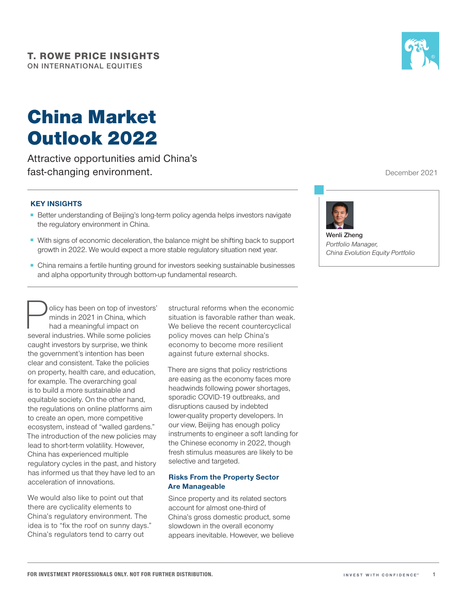# China Market Outlook 2022

Attractive opportunities amid China's fast-changing environment.

## **KEY INSIGHTS**

- Better understanding of Beijing's long-term policy agenda helps investors navigate the regulatory environment in China.
- With signs of economic deceleration, the balance might be shifting back to support growth in 2022. We would expect a more stable regulatory situation next year.
- China remains a fertile hunting ground for investors seeking sustainable businesses and alpha opportunity through bottom-up fundamental research.

olicy has been on top of investors' minds in 2021 in China, which had a meaningful impact on several industries. While some policies caught investors by surprise, we think the government's intention has been clear and consistent. Take the policies on property, health care, and education, for example. The overarching goal is to build a more sustainable and equitable society. On the other hand, the regulations on online platforms aim to create an open, more competitive ecosystem, instead of "walled gardens." The introduction of the new policies may lead to short-term volatility. However, China has experienced multiple regulatory cycles in the past, and history has informed us that they have led to an acceleration of innovations.

We would also like to point out that there are cyclicality elements to China's regulatory environment. The idea is to "fix the roof on sunny days." China's regulators tend to carry out

structural reforms when the economic situation is favorable rather than weak. We believe the recent countercyclical policy moves can help China's economy to become more resilient against future external shocks.

There are signs that policy restrictions are easing as the economy faces more headwinds following power shortages, sporadic COVID‑19 outbreaks, and disruptions caused by indebted lower-quality property developers. In our view, Beijing has enough policy instruments to engineer a soft landing for the Chinese economy in 2022, though fresh stimulus measures are likely to be selective and targeted.

## **Risks From the Property Sector Are Manageable**

Since property and its related sectors account for almost one‑third of China's gross domestic product, some slowdown in the overall economy appears inevitable. However, we believe

December 2021



**Wenli Zheng** *Portfolio Manager, China Evolution Equity Portfolio*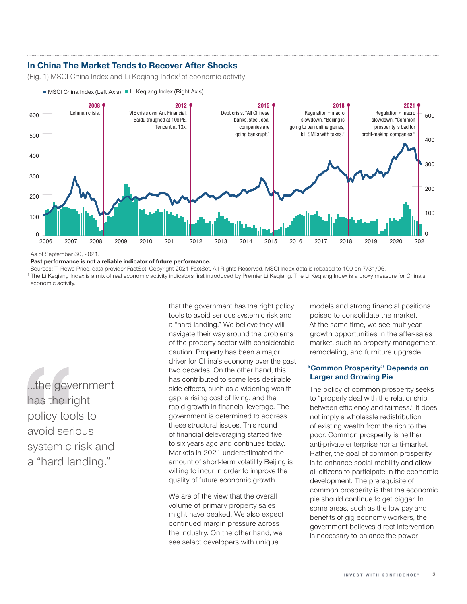# **In China The Market Tends to Recover After Shocks**

MSCI China Index (Left Axis) Li Keqiang Index (Right Axis)

(Fig. 1) MSCI China Index and Li Kegiang Index<sup>1</sup> of economic activity



As of September 30, 2021.

#### **Past performance is not a reliable indicator of future performance.**

Sources: T. Rowe Price, data provider FactSet. Copyright 2021 FactSet. All Rights Reserved. MSCI Index data is rebased to 100 on 7/31/06. <sup>1</sup> The Li Keqiang Index is a mix of real economic activity indicators first introduced by Premier Li Keqiang. The Li Keqiang Index is a proxy measure for China's economic activity.

...the government has the right policy tools to avoid serious systemic risk and a "hard landing."

that the government has the right policy tools to avoid serious systemic risk and a "hard landing." We believe they will navigate their way around the problems of the property sector with considerable caution. Property has been a major driver for China's economy over the past two decades. On the other hand, this has contributed to some less desirable side effects, such as a widening wealth gap, a rising cost of living, and the rapid growth in financial leverage. The government is determined to address these structural issues. This round of financial deleveraging started five to six years ago and continues today. Markets in 2021 underestimated the amount of short-term volatility Beijing is willing to incur in order to improve the quality of future economic growth.

We are of the view that the overall volume of primary property sales might have peaked. We also expect continued margin pressure across the industry. On the other hand, we see select developers with unique

models and strong financial positions poised to consolidate the market. At the same time, we see multiyear growth opportunities in the after-sales market, such as property management, remodeling, and furniture upgrade.

## **"Common Prosperity" Depends on Larger and Growing Pie**

The policy of common prosperity seeks to "properly deal with the relationship between efficiency and fairness." It does not imply a wholesale redistribution of existing wealth from the rich to the poor. Common prosperity is neither anti‑private enterprise nor anti‑market. Rather, the goal of common prosperity is to enhance social mobility and allow all citizens to participate in the economic development. The prerequisite of common prosperity is that the economic pie should continue to get bigger. In some areas, such as the low pay and benefits of gig economy workers, the government believes direct intervention is necessary to balance the power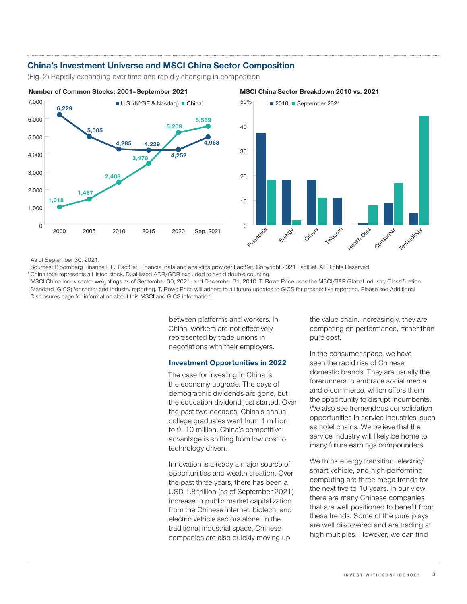## **China's Investment Universe and MSCI China Sector Composition**

(Fig. 2) Rapidly expanding over time and rapidly changing in composition





As of September 30, 2021.

Sources: Bloomberg Finance L.P., FactSet. Financial data and analytics provider FactSet. Copyright 2021 FactSet. All Rights Reserved. <sup>1</sup> China total represents all listed stock. Dual-listed ADR/GDR excluded to avoid double counting.

MSCI China Index sector weightings as of September 30, 2021, and December 31, 2010. T. Rowe Price uses the MSCI/S&P Global Industry Classification Standard (GICS) for sector and industry reporting. T. Rowe Price will adhere to all future updates to GICS for prospective reporting. Please see Additional Disclosures page for information about this MSCI and GICS information.

> between platforms and workers. In China, workers are not effectively represented by trade unions in negotiations with their employers.

#### **Investment Opportunities in 2022**

The case for investing in China is the economy upgrade. The days of demographic dividends are gone, but the education dividend just started. Over the past two decades, China's annual college graduates went from 1 million to 9–10 million. China's competitive advantage is shifting from low cost to technology driven.

Innovation is already a major source of opportunities and wealth creation. Over the past three years, there has been a USD 1.8 trillion (as of September 2021) increase in public market capitalization from the Chinese internet, biotech, and electric vehicle sectors alone. In the traditional industrial space, Chinese companies are also quickly moving up

the value chain. Increasingly, they are competing on performance, rather than pure cost.

In the consumer space, we have seen the rapid rise of Chinese domestic brands. They are usually the forerunners to embrace social media and e‑commerce, which offers them the opportunity to disrupt incumbents. We also see tremendous consolidation opportunities in service industries, such as hotel chains. We believe that the service industry will likely be home to many future earnings compounders.

We think energy transition, electric/ smart vehicle, and high-performing computing are three mega trends for the next five to 10 years. In our view, there are many Chinese companies that are well positioned to benefit from these trends. Some of the pure plays are well discovered and are trading at high multiples. However, we can find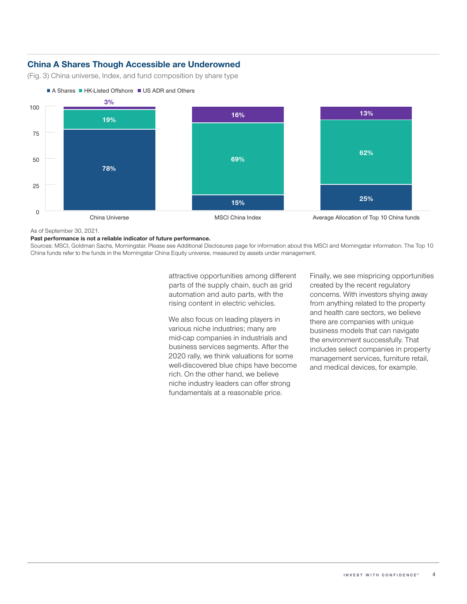# **China A Shares Though Accessible are Underowned**

(Fig. 3) China universe, Index, and fund composition by share type



As of September 30, 2021.

**Past performance is not a reliable indicator of future performance.**

Sources: MSCI, Goldman Sachs, Morningstar. Please see Additional Disclosures page for information about this MSCI and Morningstar information. The Top 10 China funds refer to the funds in the Morningstar China Equity universe, measured by assets under management.

> attractive opportunities among different parts of the supply chain, such as grid automation and auto parts, with the rising content in electric vehicles.

> We also focus on leading players in various niche industries; many are mid‑cap companies in industrials and business services segments. After the 2020 rally, we think valuations for some well-discovered blue chips have become rich. On the other hand, we believe niche industry leaders can offer strong fundamentals at a reasonable price.

Finally, we see mispricing opportunities created by the recent regulatory concerns. With investors shying away from anything related to the property and health care sectors, we believe there are companies with unique business models that can navigate the environment successfully. That includes select companies in property management services, furniture retail, and medical devices, for example.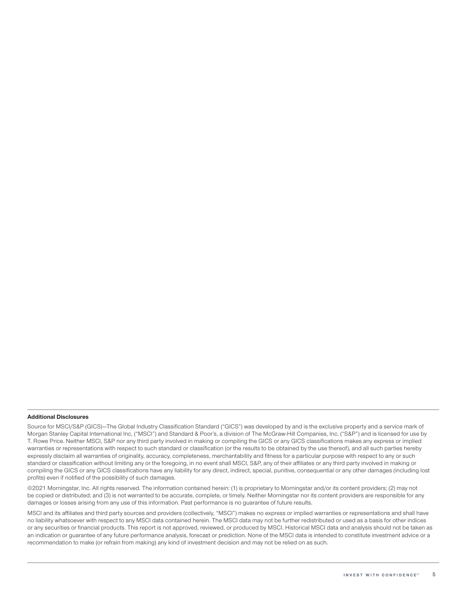#### **Additional Disclosures**

Source for MSCI/S&P (GICS)—The Global Industry Classification Standard ("GICS") was developed by and is the exclusive property and a service mark of Morgan Stanley Capital International Inc, ("MSCI") and Standard & Poor's, a division of The McGraw-Hill Companies, Inc. ("S&P") and is licensed for use by T. Rowe Price. Neither MSCI, S&P nor any third party involved in making or compiling the GICS or any GICS classifications makes any express or implied warranties or representations with respect to such standard or classification (or the results to be obtained by the use thereof), and all such parties hereby expressly disclaim all warranties of originality, accuracy, completeness, merchantability and fitness for a particular purpose with respect to any or such standard or classification without limiting any or the foregoing, in no event shall MSCI, S&P, any of their affiliates or any third party involved in making or compiling the GICS or any GICS classifications have any liability for any direct, indirect, special, punitive, consequential or any other damages (including lost profits) even if notified of the possibility of such damages.

©2021 Morningstar, Inc. All rights reserved. The information contained herein: (1) is proprietary to Morningstar and/or its content providers; (2) may not be copied or distributed; and (3) is not warranted to be accurate, complete, or timely. Neither Morningstar nor its content providers are responsible for any damages or losses arising from any use of this information. Past performance is no guarantee of future results.

MSCI and its affiliates and third party sources and providers (collectively, "MSCI") makes no express or implied warranties or representations and shall have no liability whatsoever with respect to any MSCI data contained herein. The MSCI data may not be further redistributed or used as a basis for other indices or any securities or financial products. This report is not approved, reviewed, or produced by MSCI. Historical MSCI data and analysis should not be taken as an indication or guarantee of any future performance analysis, forecast or prediction. None of the MSCI data is intended to constitute investment advice or a recommendation to make (or refrain from making) any kind of investment decision and may not be relied on as such.